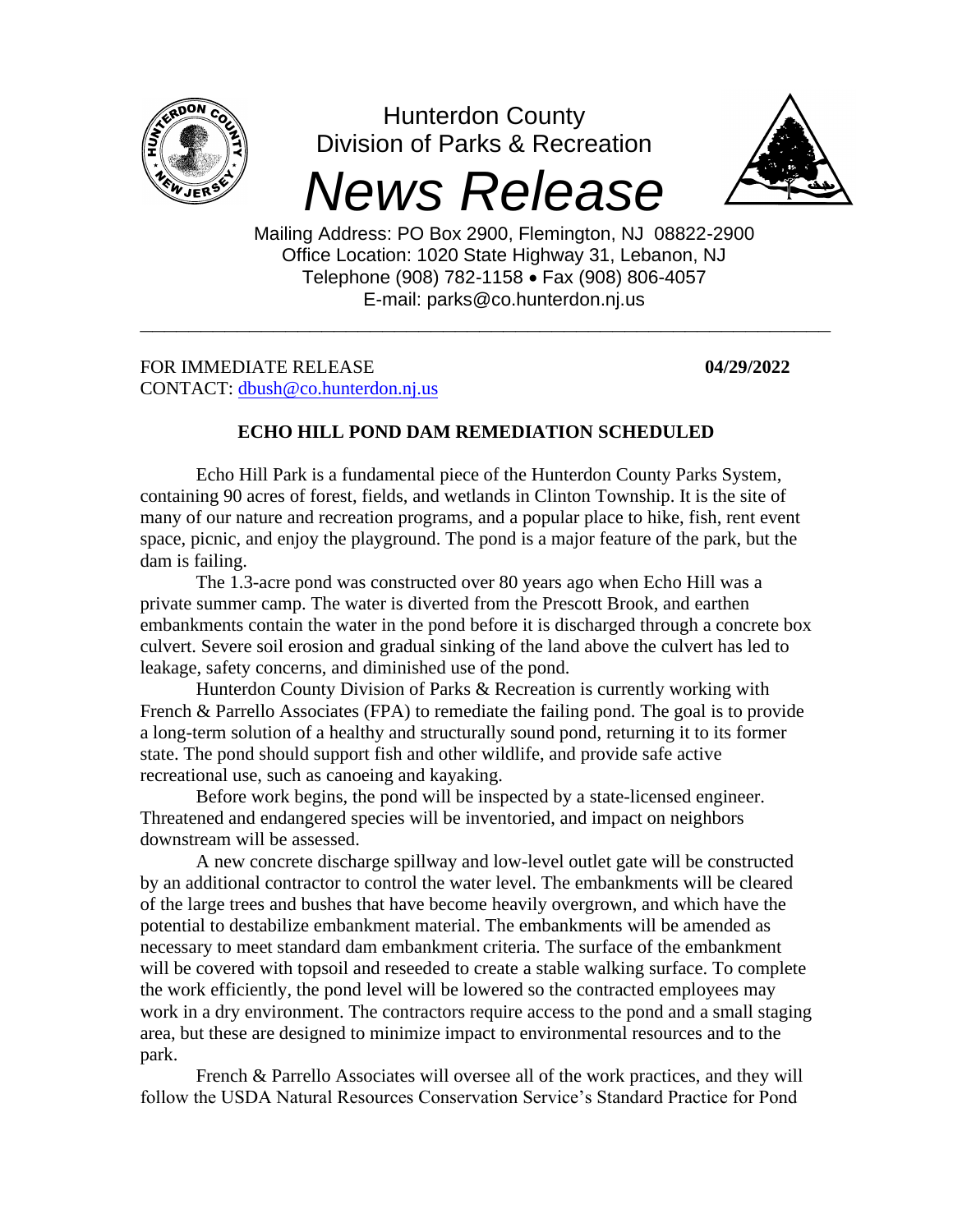

Hunterdon County Division of Parks & Recreation

## *News Release*

**\_\_\_\_\_\_\_\_\_\_\_\_\_\_\_\_\_\_\_\_\_\_\_\_\_\_\_\_\_\_\_\_\_\_\_\_\_\_\_\_\_\_\_\_\_\_\_\_\_\_\_\_\_\_\_\_\_**



Mailing Address: PO Box 2900, Flemington, NJ 08822-2900 Office Location: 1020 State Highway 31, Lebanon, NJ Telephone (908) 782-1158 • Fax (908) 806-4057 E-mail: parks@co.hunterdon.nj.us

FOR IMMEDIATE RELEASE **04/29/2022** CONTACT: [dbush@co.hunterdon.nj.us](mailto:dbush@co.hunterdon.nj.us) 

## **ECHO HILL POND DAM REMEDIATION SCHEDULED**

Echo Hill Park is a fundamental piece of the Hunterdon County Parks System, containing 90 acres of forest, fields, and wetlands in Clinton Township. It is the site of many of our nature and recreation programs, and a popular place to hike, fish, rent event space, picnic, and enjoy the playground. The pond is a major feature of the park, but the dam is failing.

The 1.3-acre pond was constructed over 80 years ago when Echo Hill was a private summer camp. The water is diverted from the Prescott Brook, and earthen embankments contain the water in the pond before it is discharged through a concrete box culvert. Severe soil erosion and gradual sinking of the land above the culvert has led to leakage, safety concerns, and diminished use of the pond.

Hunterdon County Division of Parks & Recreation is currently working with French & Parrello Associates (FPA) to remediate the failing pond. The goal is to provide a long-term solution of a healthy and structurally sound pond, returning it to its former state. The pond should support fish and other wildlife, and provide safe active recreational use, such as canoeing and kayaking.

Before work begins, the pond will be inspected by a state-licensed engineer. Threatened and endangered species will be inventoried, and impact on neighbors downstream will be assessed.

A new concrete discharge spillway and low-level outlet gate will be constructed by an additional contractor to control the water level. The embankments will be cleared of the large trees and bushes that have become heavily overgrown, and which have the potential to destabilize embankment material. The embankments will be amended as necessary to meet standard dam embankment criteria. The surface of the embankment will be covered with topsoil and reseeded to create a stable walking surface. To complete the work efficiently, the pond level will be lowered so the contracted employees may work in a dry environment. The contractors require access to the pond and a small staging area, but these are designed to minimize impact to environmental resources and to the park.

French & Parrello Associates will oversee all of the work practices, and they will follow the USDA Natural Resources Conservation Service's Standard Practice for Pond